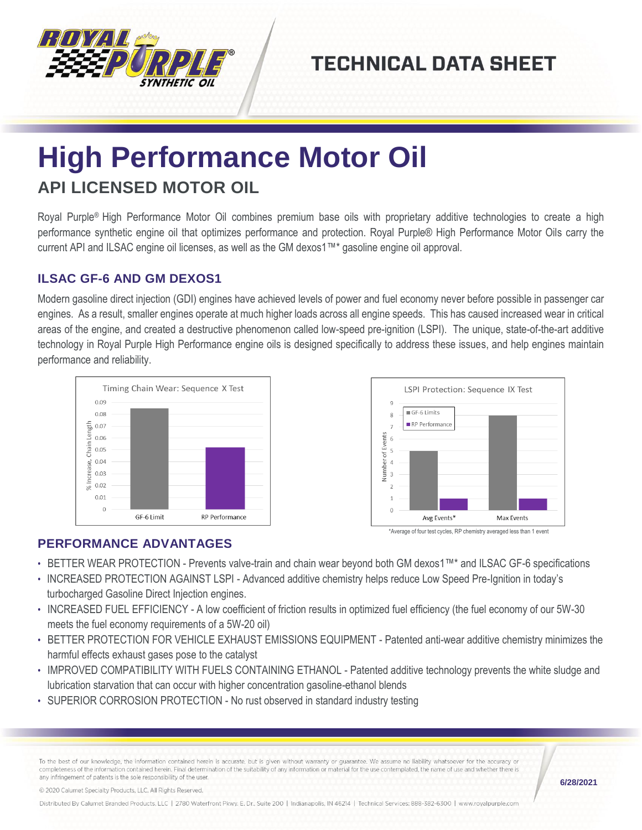

## **TECHNICAL DATA SHEET**

# **High Performance Motor Oil API LICENSED MOTOR OIL**

Royal Purple<sup>®</sup> High Performance Motor Oil combines premium base oils with proprietary additive technologies to create a high performance synthetic engine oil that optimizes performance and protection. Royal Purple® High Performance Motor Oils carry the current API and ILSAC engine oil licenses, as well as the GM dexos1™\* gasoline engine oil approval.

### **ILSAC GF-6 AND GM DEXOS1**

Modern gasoline direct injection (GDI) engines have achieved levels of power and fuel economy never before possible in passenger car engines. As a result, smaller engines operate at much higher loads across all engine speeds. This has caused increased wear in critical areas of the engine, and created a destructive phenomenon called low-speed pre-ignition (LSPI). The unique, state-of-the-art additive technology in Royal Purple High Performance engine oils is designed specifically to address these issues, and help engines maintain performance and reliability.





#### **PERFORMANCE ADVANTAGES**

- BETTER WEAR PROTECTION Prevents valve-train and chain wear beyond both GM dexos1™\* and ILSAC GF-6 specifications
- INCREASED PROTECTION AGAINST LSPI Advanced additive chemistry helps reduce Low Speed Pre-Ignition in today's turbocharged Gasoline Direct Injection engines.
- INCREASED FUEL EFFICIENCY A low coefficient of friction results in optimized fuel efficiency (the fuel economy of our 5W-30 meets the fuel economy requirements of a 5W-20 oil)
- BETTER PROTECTION FOR VEHICLE EXHAUST EMISSIONS EQUIPMENT Patented anti-wear additive chemistry minimizes the harmful effects exhaust gases pose to the catalyst
- IMPROVED COMPATIBILITY WITH FUELS CONTAINING ETHANOL Patented additive technology prevents the white sludge and lubrication starvation that can occur with higher concentration gasoline-ethanol blends
- SUPERIOR CORROSION PROTECTION No rust observed in standard industry testing

To the best of our knowledge, the information contained herein is accurate, but is given without warranty or guarantee. We assume no liability whatsoever for the accuracy or completeness of the information contained herein. Final determination of the suitability of any information or material for the use contemplated, the name of use and whether there is any infringement of patents is the sole responsibility of the user.

**6/28/2021**

© 2020 Calumet Specialty Products, LLC, All Rights Reserved

Distributed By Calumet Branded Products, LLC | 2780 Waterfront Pkwy. E. Dr., Suite 200 | Indianapolis, IN 46214 | Technical Services: 888-382-6300 | www.royalpurple.com